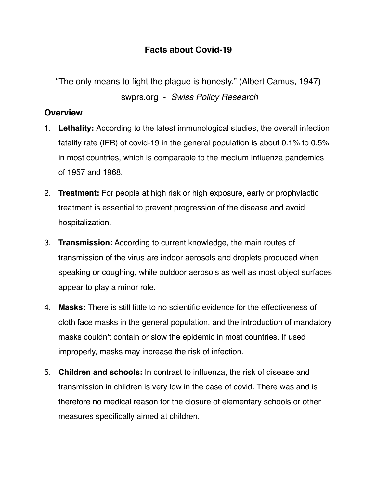## **Facts about Covid-19**

"The only means to fight the plague is honesty." (Albert Camus, 1947)

[swprs.org](http://swprs.org) - *Swiss Policy Research*

## **Overview**

- 1. **Lethality:** According to the latest immunological studies, the overall infection fatality rate (IFR) of covid-19 in the general population is about 0.1% to 0.5% in most countries, which is comparable to the medium influenza pandemics of 1957 and 1968.
- 2. **Treatment:** For people at high risk or high exposure, early or prophylactic treatment is essential to prevent progression of the disease and avoid hospitalization.
- 3. **Transmission:** According to current knowledge, the main routes of transmission of the virus are indoor aerosols and droplets produced when speaking or coughing, while outdoor aerosols as well as most object surfaces appear to play a minor role.
- 4. **Masks:** There is still little to no scientific evidence for the effectiveness of cloth face masks in the general population, and the introduction of mandatory masks couldn't contain or slow the epidemic in most countries. If used improperly, masks may increase the risk of infection.
- 5. **Children and schools:** In contrast to influenza, the risk of disease and transmission in children is very low in the case of covid. There was and is therefore no medical reason for the closure of elementary schools or other measures specifically aimed at children.